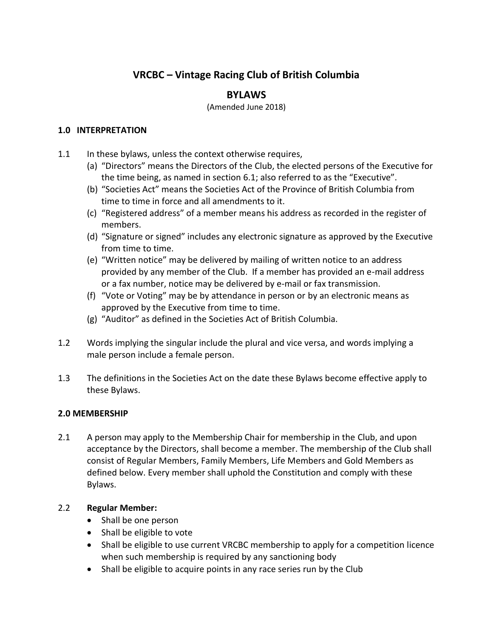# **VRCBC – Vintage Racing Club of British Columbia**

# **BYLAWS**

(Amended June 2018)

#### **1.0 INTERPRETATION**

- 1.1 In these bylaws, unless the context otherwise requires,
	- (a) "Directors" means the Directors of the Club, the elected persons of the Executive for the time being, as named in section 6.1; also referred to as the "Executive".
	- (b) "Societies Act" means the Societies Act of the Province of British Columbia from time to time in force and all amendments to it.
	- (c) "Registered address" of a member means his address as recorded in the register of members.
	- (d) "Signature or signed" includes any electronic signature as approved by the Executive from time to time.
	- (e) "Written notice" may be delivered by mailing of written notice to an address provided by any member of the Club. If a member has provided an e-mail address or a fax number, notice may be delivered by e-mail or fax transmission.
	- (f) "Vote or Voting" may be by attendance in person or by an electronic means as approved by the Executive from time to time.
	- (g) "Auditor" as defined in the Societies Act of British Columbia.
- 1.2 Words implying the singular include the plural and vice versa, and words implying a male person include a female person.
- 1.3 The definitions in the Societies Act on the date these Bylaws become effective apply to these Bylaws.

# **2.0 MEMBERSHIP**

2.1 A person may apply to the Membership Chair for membership in the Club, and upon acceptance by the Directors, shall become a member. The membership of the Club shall consist of Regular Members, Family Members, Life Members and Gold Members as defined below. Every member shall uphold the Constitution and comply with these Bylaws.

#### 2.2 **Regular Member:**

- Shall be one person
- Shall be eligible to vote
- Shall be eligible to use current VRCBC membership to apply for a competition licence when such membership is required by any sanctioning body
- Shall be eligible to acquire points in any race series run by the Club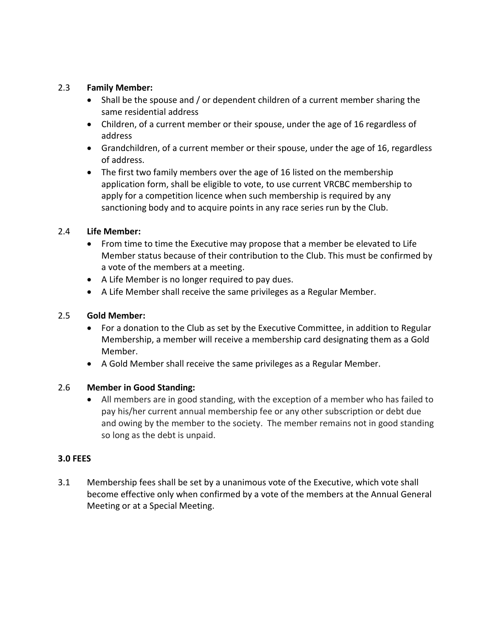#### 2.3 **Family Member:**

- Shall be the spouse and / or dependent children of a current member sharing the same residential address
- Children, of a current member or their spouse, under the age of 16 regardless of address
- Grandchildren, of a current member or their spouse, under the age of 16, regardless of address.
- The first two family members over the age of 16 listed on the membership application form, shall be eligible to vote, to use current VRCBC membership to apply for a competition licence when such membership is required by any sanctioning body and to acquire points in any race series run by the Club.

#### 2.4 **Life Member:**

- From time to time the Executive may propose that a member be elevated to Life Member status because of their contribution to the Club. This must be confirmed by a vote of the members at a meeting.
- A Life Member is no longer required to pay dues.
- A Life Member shall receive the same privileges as a Regular Member.

### 2.5 **Gold Member:**

- For a donation to the Club as set by the Executive Committee, in addition to Regular Membership, a member will receive a membership card designating them as a Gold Member.
- A Gold Member shall receive the same privileges as a Regular Member.

#### 2.6 **Member in Good Standing:**

 All members are in good standing, with the exception of a member who has failed to pay his/her current annual membership fee or any other subscription or debt due and owing by the member to the society. The member remains not in good standing so long as the debt is unpaid.

#### **3.0 FEES**

3.1 Membership fees shall be set by a unanimous vote of the Executive, which vote shall become effective only when confirmed by a vote of the members at the Annual General Meeting or at a Special Meeting.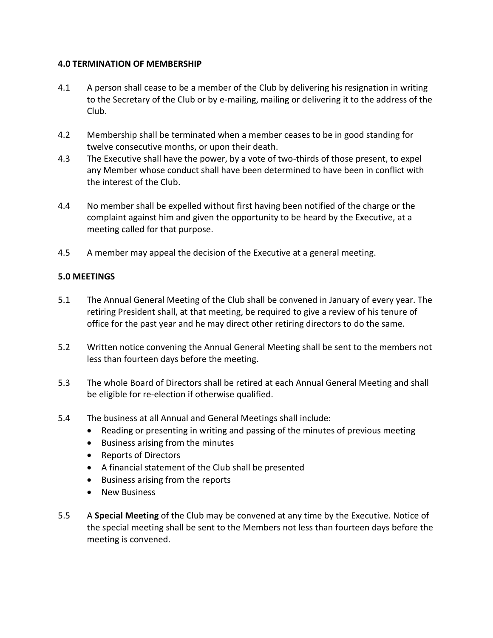#### **4.0 TERMINATION OF MEMBERSHIP**

- 4.1 A person shall cease to be a member of the Club by delivering his resignation in writing to the Secretary of the Club or by e-mailing, mailing or delivering it to the address of the Club.
- 4.2 Membership shall be terminated when a member ceases to be in good standing for twelve consecutive months, or upon their death.
- 4.3 The Executive shall have the power, by a vote of two-thirds of those present, to expel any Member whose conduct shall have been determined to have been in conflict with the interest of the Club.
- 4.4 No member shall be expelled without first having been notified of the charge or the complaint against him and given the opportunity to be heard by the Executive, at a meeting called for that purpose.
- 4.5 A member may appeal the decision of the Executive at a general meeting.

#### **5.0 MEETINGS**

- 5.1 The Annual General Meeting of the Club shall be convened in January of every year. The retiring President shall, at that meeting, be required to give a review of his tenure of office for the past year and he may direct other retiring directors to do the same.
- 5.2 Written notice convening the Annual General Meeting shall be sent to the members not less than fourteen days before the meeting.
- 5.3 The whole Board of Directors shall be retired at each Annual General Meeting and shall be eligible for re-election if otherwise qualified.
- 5.4 The business at all Annual and General Meetings shall include:
	- Reading or presenting in writing and passing of the minutes of previous meeting
	- Business arising from the minutes
	- Reports of Directors
	- A financial statement of the Club shall be presented
	- Business arising from the reports
	- **•** New Business
- 5.5 A **Special Meeting** of the Club may be convened at any time by the Executive. Notice of the special meeting shall be sent to the Members not less than fourteen days before the meeting is convened.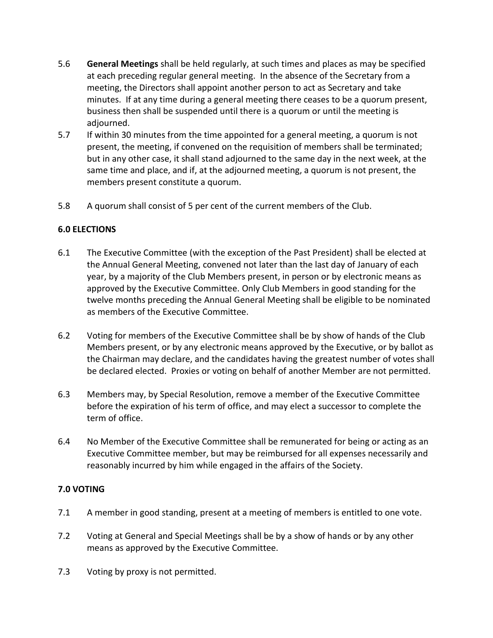- 5.6 **General Meetings** shall be held regularly, at such times and places as may be specified at each preceding regular general meeting. In the absence of the Secretary from a meeting, the Directors shall appoint another person to act as Secretary and take minutes. If at any time during a general meeting there ceases to be a quorum present, business then shall be suspended until there is a quorum or until the meeting is adjourned.
- 5.7 If within 30 minutes from the time appointed for a general meeting, a quorum is not present, the meeting, if convened on the requisition of members shall be terminated; but in any other case, it shall stand adjourned to the same day in the next week, at the same time and place, and if, at the adjourned meeting, a quorum is not present, the members present constitute a quorum.
- 5.8 A quorum shall consist of 5 per cent of the current members of the Club.

#### **6.0 ELECTIONS**

- 6.1 The Executive Committee (with the exception of the Past President) shall be elected at the Annual General Meeting, convened not later than the last day of January of each year, by a majority of the Club Members present, in person or by electronic means as approved by the Executive Committee. Only Club Members in good standing for the twelve months preceding the Annual General Meeting shall be eligible to be nominated as members of the Executive Committee.
- 6.2 Voting for members of the Executive Committee shall be by show of hands of the Club Members present, or by any electronic means approved by the Executive, or by ballot as the Chairman may declare, and the candidates having the greatest number of votes shall be declared elected. Proxies or voting on behalf of another Member are not permitted.
- 6.3 Members may, by Special Resolution, remove a member of the Executive Committee before the expiration of his term of office, and may elect a successor to complete the term of office.
- 6.4 No Member of the Executive Committee shall be remunerated for being or acting as an Executive Committee member, but may be reimbursed for all expenses necessarily and reasonably incurred by him while engaged in the affairs of the Society.

#### **7.0 VOTING**

- 7.1 A member in good standing, present at a meeting of members is entitled to one vote.
- 7.2 Voting at General and Special Meetings shall be by a show of hands or by any other means as approved by the Executive Committee.
- 7.3 Voting by proxy is not permitted.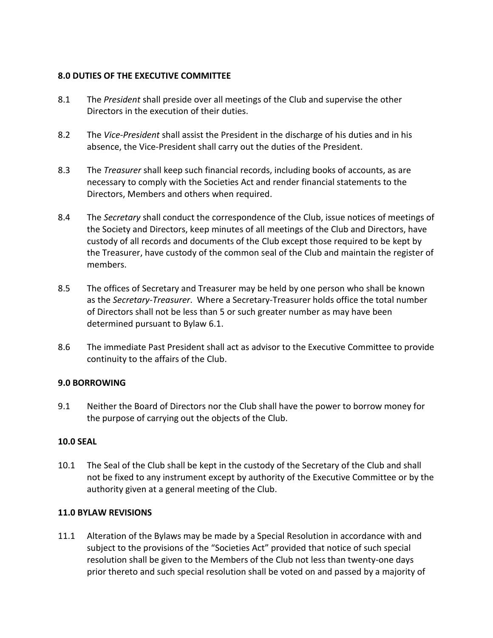#### **8.0 DUTIES OF THE EXECUTIVE COMMITTEE**

- 8.1 The *President* shall preside over all meetings of the Club and supervise the other Directors in the execution of their duties.
- 8.2 The *Vice-President* shall assist the President in the discharge of his duties and in his absence, the Vice-President shall carry out the duties of the President.
- 8.3 The *Treasurer* shall keep such financial records, including books of accounts, as are necessary to comply with the Societies Act and render financial statements to the Directors, Members and others when required.
- 8.4 The *Secretary* shall conduct the correspondence of the Club, issue notices of meetings of the Society and Directors, keep minutes of all meetings of the Club and Directors, have custody of all records and documents of the Club except those required to be kept by the Treasurer, have custody of the common seal of the Club and maintain the register of members.
- 8.5 The offices of Secretary and Treasurer may be held by one person who shall be known as the *Secretary-Treasurer*. Where a Secretary-Treasurer holds office the total number of Directors shall not be less than 5 or such greater number as may have been determined pursuant to Bylaw 6.1.
- 8.6 The immediate Past President shall act as advisor to the Executive Committee to provide continuity to the affairs of the Club.

# **9.0 BORROWING**

9.1 Neither the Board of Directors nor the Club shall have the power to borrow money for the purpose of carrying out the objects of the Club.

# **10.0 SEAL**

10.1 The Seal of the Club shall be kept in the custody of the Secretary of the Club and shall not be fixed to any instrument except by authority of the Executive Committee or by the authority given at a general meeting of the Club.

# **11.0 BYLAW REVISIONS**

11.1 Alteration of the Bylaws may be made by a Special Resolution in accordance with and subject to the provisions of the "Societies Act" provided that notice of such special resolution shall be given to the Members of the Club not less than twenty-one days prior thereto and such special resolution shall be voted on and passed by a majority of